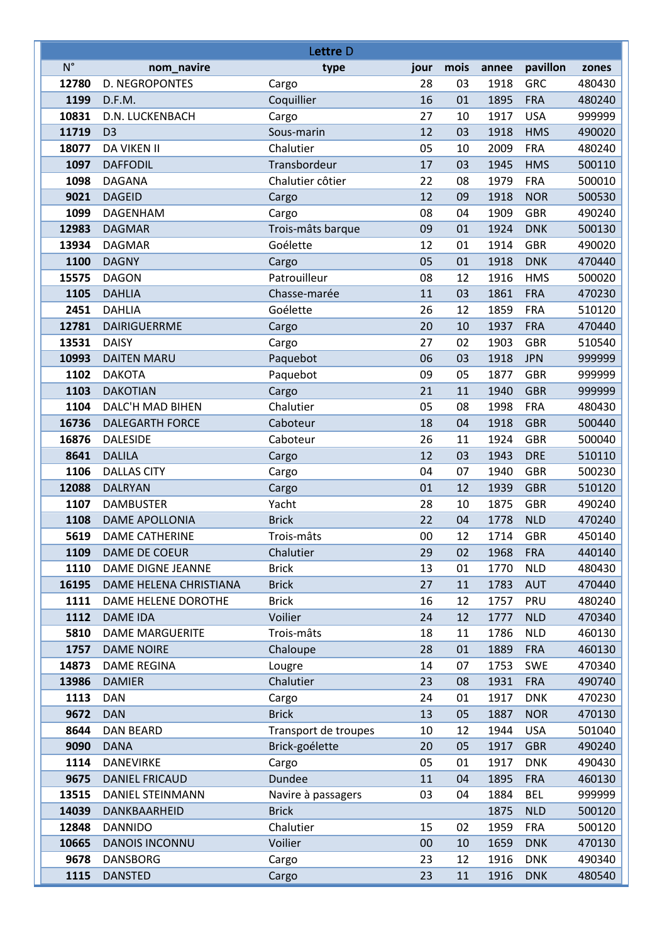| Lettre D      |                                             |                              |          |          |              |                          |                  |  |
|---------------|---------------------------------------------|------------------------------|----------|----------|--------------|--------------------------|------------------|--|
| $N^{\circ}$   | nom_navire                                  | type                         | jour     | mois     | annee        | pavillon                 | zones            |  |
| 12780         | <b>D. NEGROPONTES</b>                       | Cargo                        | 28       | 03       | 1918         | <b>GRC</b>               | 480430           |  |
| 1199          | D.F.M.                                      | Coquillier                   | 16       | 01       | 1895         | <b>FRA</b>               | 480240           |  |
| 10831         | D.N. LUCKENBACH                             | Cargo                        | 27       | 10       | 1917         | <b>USA</b>               | 999999           |  |
| 11719         | D <sub>3</sub>                              | Sous-marin                   | 12       | 03       | 1918         | <b>HMS</b>               | 490020           |  |
| 18077         | <b>DA VIKEN II</b>                          | Chalutier                    | 05       | 10       | 2009         | <b>FRA</b>               | 480240           |  |
| 1097          | <b>DAFFODIL</b>                             | Transbordeur                 | 17       | 03       | 1945         | <b>HMS</b>               | 500110           |  |
| 1098          | <b>DAGANA</b>                               | Chalutier côtier             | 22       | 08       | 1979         | <b>FRA</b>               | 500010           |  |
| 9021          | <b>DAGEID</b>                               | Cargo                        | 12       | 09       | 1918         | <b>NOR</b>               | 500530           |  |
| 1099          | <b>DAGENHAM</b>                             | Cargo                        | 08       | 04       | 1909         | <b>GBR</b>               | 490240           |  |
| 12983         | <b>DAGMAR</b>                               | Trois-mâts barque            | 09       | 01       | 1924         | <b>DNK</b>               | 500130           |  |
| 13934         | <b>DAGMAR</b>                               | Goélette                     | 12       | 01       | 1914         | <b>GBR</b>               | 490020           |  |
| 1100          | <b>DAGNY</b>                                | Cargo                        | 05       | 01       | 1918         | <b>DNK</b>               | 470440           |  |
| 15575         | <b>DAGON</b>                                | Patrouilleur                 | 08       | 12       | 1916         | <b>HMS</b>               | 500020           |  |
| 1105          | <b>DAHLIA</b>                               | Chasse-marée                 | 11       | 03       | 1861         | <b>FRA</b>               | 470230           |  |
| 2451          | <b>DAHLIA</b>                               | Goélette                     | 26       | 12       | 1859         | <b>FRA</b>               | 510120           |  |
| 12781         | DAIRIGUERRME                                | Cargo                        | 20       | 10       | 1937         | <b>FRA</b>               | 470440           |  |
| 13531         | <b>DAISY</b>                                | Cargo                        | 27       | 02       | 1903         | <b>GBR</b>               | 510540           |  |
| 10993         | <b>DAITEN MARU</b>                          | Paquebot                     | 06       | 03       | 1918         | <b>JPN</b>               | 999999           |  |
| 1102          | <b>DAKOTA</b>                               | Paquebot                     | 09       | 05       | 1877         | <b>GBR</b>               | 999999           |  |
| 1103          | <b>DAKOTIAN</b>                             | Cargo                        | 21       | 11       | 1940         | <b>GBR</b>               | 999999           |  |
| 1104          | DALC'H MAD BIHEN                            | Chalutier                    | 05       | 08       | 1998         | <b>FRA</b>               | 480430           |  |
| 16736         | <b>DALEGARTH FORCE</b>                      | Caboteur                     | 18       | 04       | 1918         | <b>GBR</b>               | 500440           |  |
| 16876         | <b>DALESIDE</b>                             | Caboteur                     | 26       | 11       | 1924         | <b>GBR</b>               | 500040           |  |
| 8641          | <b>DALILA</b>                               | Cargo                        | 12       | 03       | 1943         | <b>DRE</b>               | 510110           |  |
| 1106          | <b>DALLAS CITY</b>                          | Cargo                        | 04       | 07       | 1940         | <b>GBR</b>               | 500230           |  |
| 12088         | <b>DALRYAN</b>                              | Cargo                        | 01       | 12       | 1939         | <b>GBR</b>               | 510120           |  |
| 1107          | <b>DAMBUSTER</b>                            | Yacht                        | 28       | 10       | 1875         | <b>GBR</b>               | 490240           |  |
| 1108          | <b>DAME APOLLONIA</b>                       | <b>Brick</b>                 | 22       | 04       | 1778         | <b>NLD</b>               | 470240           |  |
| 5619          | <b>DAME CATHERINE</b>                       | Trois-mâts                   | 00       | 12       | 1714         | <b>GBR</b>               | 450140           |  |
| 1109          | DAME DE COEUR                               | Chalutier                    | 29       | 02       | 1968         | <b>FRA</b>               | 440140           |  |
| 1110<br>16195 | DAME DIGNE JEANNE<br>DAME HELENA CHRISTIANA | <b>Brick</b><br><b>Brick</b> | 13<br>27 | 01<br>11 | 1770<br>1783 | <b>NLD</b><br><b>AUT</b> | 480430<br>470440 |  |
| 1111          | DAME HELENE DOROTHE                         | <b>Brick</b>                 | 16       | 12       | 1757         | PRU                      | 480240           |  |
| 1112          | <b>DAME IDA</b>                             | Voilier                      | 24       | 12       | 1777         | <b>NLD</b>               | 470340           |  |
| 5810          | <b>DAME MARGUERITE</b>                      | Trois-mâts                   | 18       | 11       | 1786         | <b>NLD</b>               | 460130           |  |
| 1757          | <b>DAME NOIRE</b>                           | Chaloupe                     | 28       | 01       | 1889         | <b>FRA</b>               | 460130           |  |
| 14873         | <b>DAME REGINA</b>                          | Lougre                       | 14       | 07       | 1753         | <b>SWE</b>               | 470340           |  |
| 13986         | <b>DAMIER</b>                               | Chalutier                    | 23       | 08       | 1931         | <b>FRA</b>               | 490740           |  |
| 1113          | <b>DAN</b>                                  | Cargo                        | 24       | 01       | 1917         | <b>DNK</b>               | 470230           |  |
| 9672          | <b>DAN</b>                                  | <b>Brick</b>                 | 13       | 05       | 1887         | <b>NOR</b>               | 470130           |  |
| 8644          | <b>DAN BEARD</b>                            | Transport de troupes         | 10       | 12       | 1944         | <b>USA</b>               | 501040           |  |
| 9090          | <b>DANA</b>                                 | Brick-goélette               | 20       | 05       | 1917         | <b>GBR</b>               | 490240           |  |
| 1114          | <b>DANEVIRKE</b>                            | Cargo                        | 05       | 01       | 1917         | <b>DNK</b>               | 490430           |  |
| 9675          | <b>DANIEL FRICAUD</b>                       | Dundee                       | 11       | 04       | 1895         | <b>FRA</b>               | 460130           |  |
| 13515         | DANIEL STEINMANN                            | Navire à passagers           | 03       | 04       | 1884         | <b>BEL</b>               | 999999           |  |
| 14039         | DANKBAARHEID                                | <b>Brick</b>                 |          |          | 1875         | <b>NLD</b>               | 500120           |  |
| 12848         | <b>DANNIDO</b>                              | Chalutier                    | 15       | 02       | 1959         | <b>FRA</b>               | 500120           |  |
| 10665         | <b>DANOIS INCONNU</b>                       | Voilier                      | 00       | 10       | 1659         | <b>DNK</b>               | 470130           |  |
| 9678          | <b>DANSBORG</b>                             | Cargo                        | 23       | 12       | 1916         | <b>DNK</b>               | 490340           |  |
| 1115          | <b>DANSTED</b>                              | Cargo                        | 23       | 11       | 1916         | <b>DNK</b>               | 480540           |  |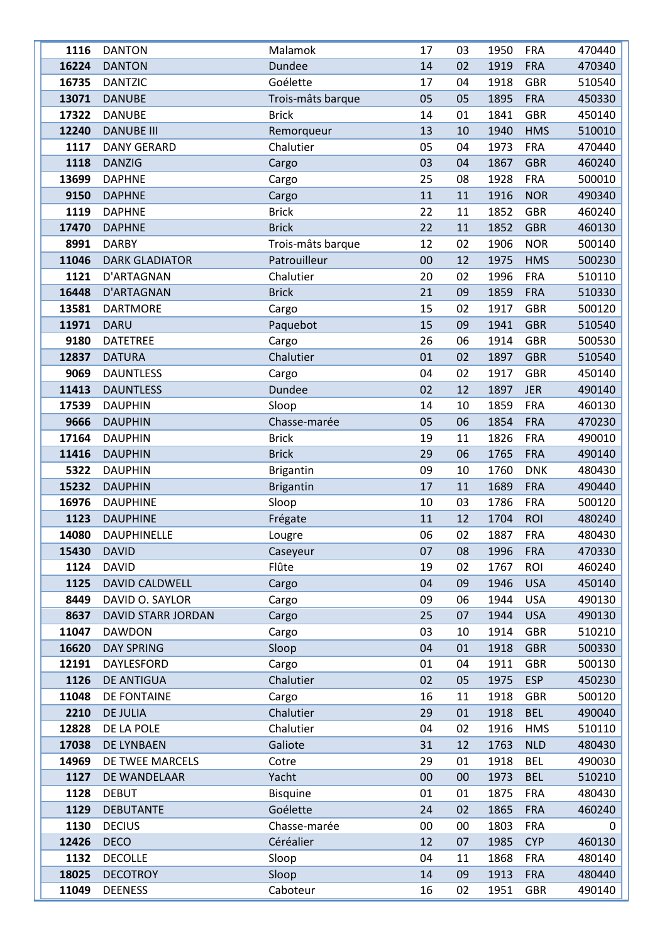| 1116  | <b>DANTON</b>         | Malamok           | 17 | 03 | 1950 | <b>FRA</b> | 470440 |
|-------|-----------------------|-------------------|----|----|------|------------|--------|
| 16224 | <b>DANTON</b>         | Dundee            | 14 | 02 | 1919 | <b>FRA</b> | 470340 |
| 16735 | <b>DANTZIC</b>        | Goélette          | 17 | 04 | 1918 | <b>GBR</b> | 510540 |
| 13071 | <b>DANUBE</b>         | Trois-mâts barque | 05 | 05 | 1895 | <b>FRA</b> | 450330 |
| 17322 | <b>DANUBE</b>         | <b>Brick</b>      | 14 | 01 | 1841 | <b>GBR</b> | 450140 |
| 12240 | <b>DANUBE III</b>     | Remorqueur        | 13 | 10 | 1940 | <b>HMS</b> | 510010 |
| 1117  | <b>DANY GERARD</b>    | Chalutier         | 05 | 04 | 1973 | <b>FRA</b> | 470440 |
| 1118  | <b>DANZIG</b>         | Cargo             | 03 | 04 | 1867 | <b>GBR</b> | 460240 |
| 13699 | <b>DAPHNE</b>         | Cargo             | 25 | 08 | 1928 | <b>FRA</b> | 500010 |
| 9150  | <b>DAPHNE</b>         | Cargo             | 11 | 11 | 1916 | <b>NOR</b> | 490340 |
| 1119  | <b>DAPHNE</b>         | <b>Brick</b>      | 22 | 11 | 1852 | <b>GBR</b> | 460240 |
| 17470 | <b>DAPHNE</b>         | <b>Brick</b>      | 22 | 11 | 1852 | <b>GBR</b> | 460130 |
| 8991  | <b>DARBY</b>          | Trois-mâts barque | 12 | 02 | 1906 | <b>NOR</b> | 500140 |
| 11046 | <b>DARK GLADIATOR</b> | Patrouilleur      | 00 | 12 | 1975 | <b>HMS</b> | 500230 |
| 1121  |                       | Chalutier         | 20 |    | 1996 | <b>FRA</b> |        |
|       | D'ARTAGNAN            |                   |    | 02 |      |            | 510110 |
| 16448 | D'ARTAGNAN            | <b>Brick</b>      | 21 | 09 | 1859 | <b>FRA</b> | 510330 |
| 13581 | <b>DARTMORE</b>       | Cargo             | 15 | 02 | 1917 | <b>GBR</b> | 500120 |
| 11971 | <b>DARU</b>           | Paquebot          | 15 | 09 | 1941 | <b>GBR</b> | 510540 |
| 9180  | <b>DATETREE</b>       | Cargo             | 26 | 06 | 1914 | <b>GBR</b> | 500530 |
| 12837 | <b>DATURA</b>         | Chalutier         | 01 | 02 | 1897 | <b>GBR</b> | 510540 |
| 9069  | <b>DAUNTLESS</b>      | Cargo             | 04 | 02 | 1917 | <b>GBR</b> | 450140 |
| 11413 | <b>DAUNTLESS</b>      | <b>Dundee</b>     | 02 | 12 | 1897 | <b>JER</b> | 490140 |
| 17539 | <b>DAUPHIN</b>        | Sloop             | 14 | 10 | 1859 | <b>FRA</b> | 460130 |
| 9666  | <b>DAUPHIN</b>        | Chasse-marée      | 05 | 06 | 1854 | <b>FRA</b> | 470230 |
| 17164 | <b>DAUPHIN</b>        | <b>Brick</b>      | 19 | 11 | 1826 | <b>FRA</b> | 490010 |
| 11416 | <b>DAUPHIN</b>        | <b>Brick</b>      | 29 | 06 | 1765 | <b>FRA</b> | 490140 |
| 5322  | <b>DAUPHIN</b>        | <b>Brigantin</b>  | 09 | 10 | 1760 | <b>DNK</b> | 480430 |
| 15232 | <b>DAUPHIN</b>        | <b>Brigantin</b>  | 17 | 11 | 1689 | <b>FRA</b> | 490440 |
| 16976 | <b>DAUPHINE</b>       | Sloop             | 10 | 03 | 1786 | <b>FRA</b> | 500120 |
| 1123  | <b>DAUPHINE</b>       | Frégate           | 11 | 12 | 1704 | <b>ROI</b> | 480240 |
| 14080 | <b>DAUPHINELLE</b>    | Lougre            | 06 | 02 | 1887 | <b>FRA</b> | 480430 |
| 15430 | <b>DAVID</b>          | Caseyeur          | 07 | 08 | 1996 | <b>FRA</b> | 470330 |
| 1124  | <b>DAVID</b>          | Flûte             | 19 | 02 | 1767 | <b>ROI</b> | 460240 |
| 1125  | DAVID CALDWELL        | Cargo             | 04 | 09 | 1946 | <b>USA</b> | 450140 |
| 8449  | DAVID O. SAYLOR       | Cargo             | 09 | 06 | 1944 | <b>USA</b> | 490130 |
| 8637  | DAVID STARR JORDAN    | Cargo             | 25 | 07 | 1944 | <b>USA</b> | 490130 |
| 11047 | <b>DAWDON</b>         | Cargo             | 03 | 10 | 1914 | <b>GBR</b> | 510210 |
| 16620 | <b>DAY SPRING</b>     | Sloop             | 04 | 01 | 1918 | <b>GBR</b> | 500330 |
| 12191 | DAYLESFORD            | Cargo             | 01 | 04 | 1911 | <b>GBR</b> | 500130 |
| 1126  | <b>DE ANTIGUA</b>     | Chalutier         | 02 | 05 | 1975 | <b>ESP</b> | 450230 |
| 11048 | DE FONTAINE           | Cargo             | 16 | 11 | 1918 | <b>GBR</b> | 500120 |
| 2210  | <b>DE JULIA</b>       | Chalutier         | 29 | 01 | 1918 | <b>BEL</b> | 490040 |
| 12828 | DE LA POLE            | Chalutier         | 04 | 02 | 1916 | <b>HMS</b> | 510110 |
| 17038 | DE LYNBAEN            | Galiote           | 31 | 12 | 1763 | <b>NLD</b> | 480430 |
| 14969 | DE TWEE MARCELS       | Cotre             | 29 | 01 | 1918 | <b>BEL</b> | 490030 |
| 1127  | DE WANDELAAR          | Yacht             | 00 | 00 | 1973 | <b>BEL</b> | 510210 |
| 1128  | <b>DEBUT</b>          | <b>Bisquine</b>   | 01 | 01 | 1875 | <b>FRA</b> | 480430 |
| 1129  | <b>DEBUTANTE</b>      | Goélette          | 24 | 02 | 1865 | <b>FRA</b> | 460240 |
| 1130  | <b>DECIUS</b>         | Chasse-marée      | 00 | 00 | 1803 | <b>FRA</b> | 0      |
| 12426 | <b>DECO</b>           | Céréalier         | 12 | 07 | 1985 | <b>CYP</b> | 460130 |
| 1132  | <b>DECOLLE</b>        | Sloop             | 04 | 11 | 1868 | <b>FRA</b> | 480140 |
| 18025 | <b>DECOTROY</b>       | Sloop             | 14 | 09 | 1913 | <b>FRA</b> | 480440 |
| 11049 | <b>DEENESS</b>        | Caboteur          | 16 | 02 | 1951 | <b>GBR</b> | 490140 |
|       |                       |                   |    |    |      |            |        |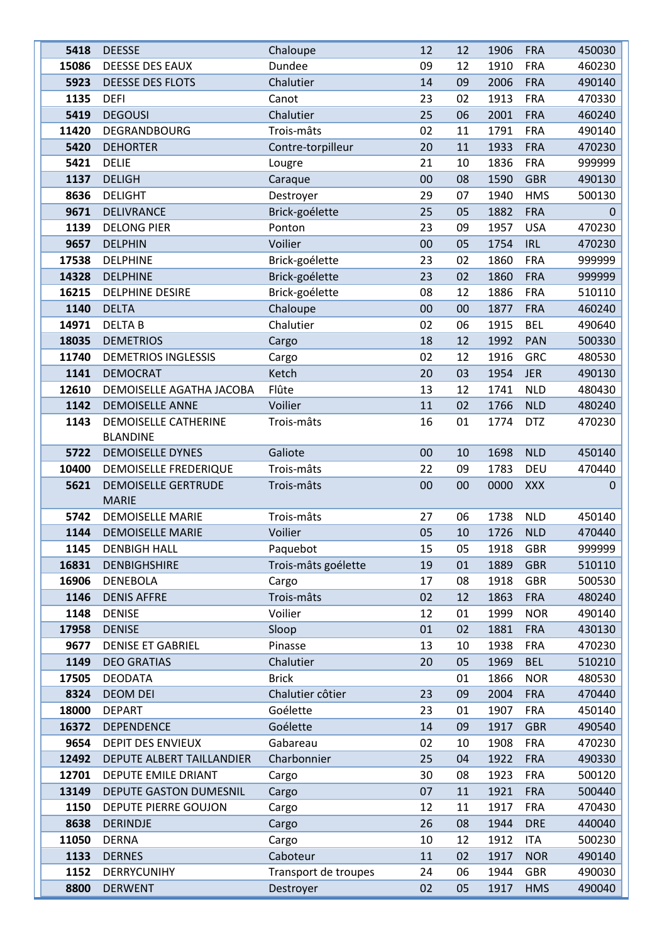| 5418           | <b>DEESSE</b>                                    | Chaloupe             | 12       | 12       | 1906         | <b>FRA</b>               | 450030           |
|----------------|--------------------------------------------------|----------------------|----------|----------|--------------|--------------------------|------------------|
| 15086          | DEESSE DES EAUX                                  | Dundee               | 09       | 12       | 1910         | <b>FRA</b>               | 460230           |
| 5923           | <b>DEESSE DES FLOTS</b>                          | Chalutier            | 14       | 09       | 2006         | <b>FRA</b>               | 490140           |
| 1135           | <b>DEFI</b>                                      | Canot                | 23       | 02       | 1913         | <b>FRA</b>               | 470330           |
| 5419           | <b>DEGOUSI</b>                                   | Chalutier            | 25       | 06       | 2001         | <b>FRA</b>               | 460240           |
| 11420          | DEGRANDBOURG                                     | Trois-mâts           | 02       | 11       | 1791         | <b>FRA</b>               | 490140           |
| 5420           | <b>DEHORTER</b>                                  | Contre-torpilleur    | 20       | 11       | 1933         | <b>FRA</b>               | 470230           |
| 5421           | <b>DELIE</b>                                     | Lougre               | 21       | 10       | 1836         | <b>FRA</b>               | 999999           |
| 1137           | <b>DELIGH</b>                                    | Caraque              | 00       | 08       | 1590         | <b>GBR</b>               | 490130           |
| 8636           | <b>DELIGHT</b>                                   | Destroyer            | 29       | 07       | 1940         | <b>HMS</b>               | 500130           |
| 9671           | <b>DELIVRANCE</b>                                | Brick-goélette       | 25       | 05       | 1882         | <b>FRA</b>               | 0                |
| 1139           | <b>DELONG PIER</b>                               | Ponton               | 23       | 09       | 1957         | <b>USA</b>               | 470230           |
| 9657           | <b>DELPHIN</b>                                   | Voilier              | 00       | 05       | 1754         | <b>IRL</b>               | 470230           |
| 17538          | <b>DELPHINE</b>                                  | Brick-goélette       | 23       | 02       | 1860         | <b>FRA</b>               | 999999           |
| 14328          | <b>DELPHINE</b>                                  | Brick-goélette       | 23       | 02       | 1860         | <b>FRA</b>               | 999999           |
| 16215          | <b>DELPHINE DESIRE</b>                           | Brick-goélette       | 08       | 12       | 1886         | <b>FRA</b>               | 510110           |
| 1140           | <b>DELTA</b>                                     | Chaloupe             | 00       | 00       | 1877         | <b>FRA</b>               | 460240           |
| 14971          | <b>DELTAB</b>                                    | Chalutier            | 02       | 06       | 1915         | <b>BEL</b>               | 490640           |
| 18035          | <b>DEMETRIOS</b>                                 | Cargo                | 18       | 12       | 1992         | PAN                      | 500330           |
| 11740          | <b>DEMETRIOS INGLESSIS</b>                       | Cargo                | 02       | 12       | 1916         | <b>GRC</b>               | 480530           |
| 1141           | <b>DEMOCRAT</b>                                  | Ketch                | 20       | 03       | 1954         | <b>JER</b>               | 490130           |
| 12610          | DEMOISELLE AGATHA JACOBA                         | Flûte                | 13       | 12       | 1741         | <b>NLD</b>               | 480430           |
| 1142           | <b>DEMOISELLE ANNE</b>                           | Voilier              | 11       | 02       | 1766         | <b>NLD</b>               | 480240           |
| 1143           | <b>DEMOISELLE CATHERINE</b>                      | Trois-mâts           | 16       | 01       | 1774         | <b>DTZ</b>               | 470230           |
|                | <b>BLANDINE</b>                                  |                      |          |          |              |                          |                  |
| 5722           | <b>DEMOISELLE DYNES</b>                          | Galiote              | 00       | 10       | 1698         | <b>NLD</b>               | 450140           |
| 10400          | DEMOISELLE FREDERIQUE                            | Trois-mâts           | 22       | 09       | 1783         | DEU                      | 470440           |
| 5621           | <b>DEMOISELLE GERTRUDE</b>                       | Trois-mâts           | 00       | 00       | 0000         | <b>XXX</b>               | 0                |
|                | <b>MARIE</b>                                     |                      |          |          |              |                          |                  |
| 5742           | <b>DEMOISELLE MARIE</b>                          | Trois-mâts           | 27       | 06       | 1738         | <b>NLD</b>               | 450140           |
| 1144           | <b>DEMOISELLE MARIE</b>                          | Voilier              | 05       | 10       | 1726         | <b>NLD</b>               | 470440           |
| 1145           | <b>DENBIGH HALL</b>                              | Paquebot             | 15       | 05       | 1918         | <b>GBR</b>               | 999999           |
| 16831          | <b>DENBIGHSHIRE</b>                              | Trois-mâts goélette  | 19       | 01       | 1889         | <b>GBR</b>               | 510110           |
| 16906          | <b>DENEBOLA</b>                                  | Cargo                | 17       | 08       | 1918         | <b>GBR</b>               | 500530           |
| 1146           | <b>DENIS AFFRE</b>                               | Trois-mâts           | 02       | 12       | 1863         | <b>FRA</b>               | 480240           |
| 1148           | <b>DENISE</b>                                    | Voilier              | 12       | 01       | 1999         | <b>NOR</b>               | 490140           |
| 17958          | <b>DENISE</b>                                    | Sloop                | 01       | 02       | 1881         | <b>FRA</b>               | 430130           |
| 9677           | <b>DENISE ET GABRIEL</b>                         | Pinasse              | 13       | 10       | 1938         | <b>FRA</b>               | 470230           |
| 1149           | <b>DEO GRATIAS</b>                               | Chalutier            | 20       | 05       | 1969         | <b>BEL</b>               | 510210           |
| 17505          | <b>DEODATA</b>                                   | <b>Brick</b>         |          | 01       | 1866         | <b>NOR</b>               | 480530           |
| 8324           | <b>DEOM DEI</b>                                  | Chalutier côtier     | 23       | 09       | 2004         | <b>FRA</b>               | 470440           |
| 18000<br>16372 | <b>DEPART</b><br><b>DEPENDENCE</b>               | Goélette<br>Goélette | 23<br>14 | 01<br>09 | 1907<br>1917 | <b>FRA</b><br><b>GBR</b> | 450140<br>490540 |
| 9654           | <b>DEPIT DES ENVIEUX</b>                         | Gabareau             | 02       | 10       | 1908         | <b>FRA</b>               |                  |
|                |                                                  | Charbonnier          | 25       |          |              |                          | 470230           |
| 12492<br>12701 | DEPUTE ALBERT TAILLANDIER<br>DEPUTE EMILE DRIANT |                      | 30       | 04<br>08 | 1922<br>1923 | <b>FRA</b><br><b>FRA</b> | 490330<br>500120 |
| 13149          | DEPUTE GASTON DUMESNIL                           | Cargo<br>Cargo       | 07       | 11       | 1921         | <b>FRA</b>               | 500440           |
|                |                                                  |                      |          |          | 1917         | <b>FRA</b>               |                  |
| 1150<br>8638   | DEPUTE PIERRE GOUJON<br><b>DERINDJE</b>          | Cargo                | 12<br>26 | 11<br>08 | 1944         | <b>DRE</b>               | 470430<br>440040 |
| 11050          | <b>DERNA</b>                                     | Cargo<br>Cargo       | 10       | 12       | 1912         | <b>ITA</b>               | 500230           |
| 1133           | <b>DERNES</b>                                    | Caboteur             | 11       | 02       | 1917         | <b>NOR</b>               | 490140           |
| 1152           | DERRYCUNIHY                                      | Transport de troupes | 24       | 06       | 1944         | <b>GBR</b>               | 490030           |
| 8800           | <b>DERWENT</b>                                   | Destroyer            | 02       | 05       | 1917         | <b>HMS</b>               | 490040           |
|                |                                                  |                      |          |          |              |                          |                  |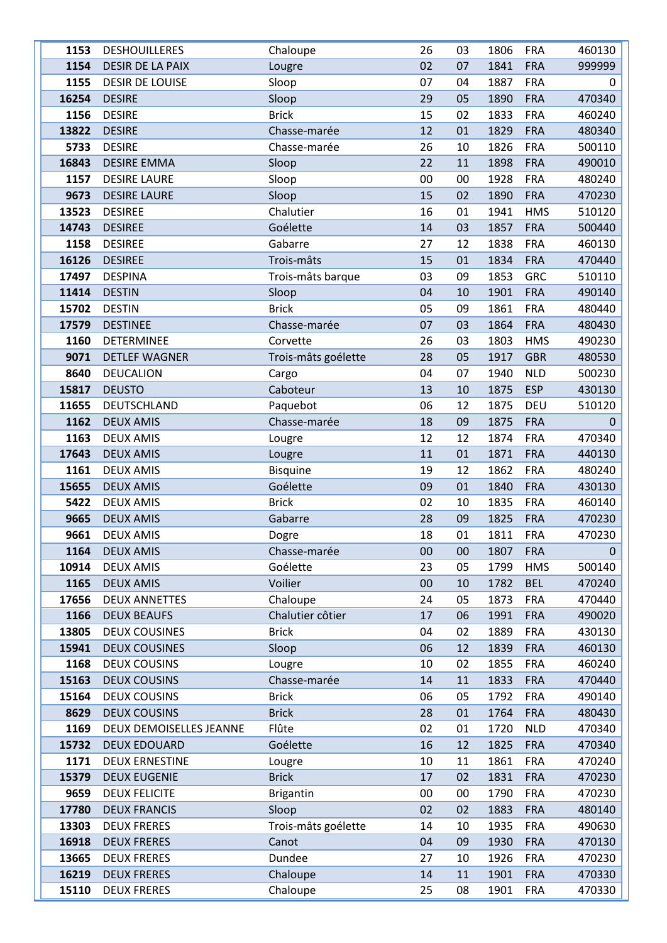| 1153  | <b>DESHOUILLERES</b>    | Chaloupe            | 26 | 03 | 1806 | <b>FRA</b> | 460130 |
|-------|-------------------------|---------------------|----|----|------|------------|--------|
| 1154  | <b>DESIR DE LA PAIX</b> | Lougre              | 02 | 07 | 1841 | <b>FRA</b> | 999999 |
| 1155  | <b>DESIR DE LOUISE</b>  | Sloop               | 07 | 04 | 1887 | <b>FRA</b> | 0      |
| 16254 | <b>DESIRE</b>           | Sloop               | 29 | 05 | 1890 | <b>FRA</b> | 470340 |
| 1156  | <b>DESIRE</b>           | <b>Brick</b>        | 15 | 02 | 1833 | <b>FRA</b> | 460240 |
| 13822 | <b>DESIRE</b>           | Chasse-marée        | 12 | 01 | 1829 | <b>FRA</b> | 480340 |
| 5733  | <b>DESIRE</b>           | Chasse-marée        | 26 | 10 | 1826 | <b>FRA</b> | 500110 |
| 16843 | <b>DESIRE EMMA</b>      | Sloop               | 22 | 11 | 1898 | <b>FRA</b> | 490010 |
| 1157  | <b>DESIRE LAURE</b>     | Sloop               | 00 | 00 | 1928 | <b>FRA</b> | 480240 |
| 9673  | <b>DESIRE LAURE</b>     | Sloop               | 15 | 02 | 1890 | <b>FRA</b> | 470230 |
| 13523 | <b>DESIREE</b>          | Chalutier           | 16 | 01 | 1941 | <b>HMS</b> | 510120 |
| 14743 | <b>DESIREE</b>          | Goélette            | 14 | 03 | 1857 | <b>FRA</b> | 500440 |
| 1158  | <b>DESIREE</b>          | Gabarre             | 27 | 12 | 1838 | <b>FRA</b> | 460130 |
| 16126 | <b>DESIREE</b>          | Trois-mâts          | 15 | 01 | 1834 | <b>FRA</b> | 470440 |
| 17497 | <b>DESPINA</b>          | Trois-mâts barque   | 03 | 09 | 1853 | <b>GRC</b> | 510110 |
| 11414 | <b>DESTIN</b>           | Sloop               | 04 | 10 | 1901 | <b>FRA</b> | 490140 |
| 15702 | <b>DESTIN</b>           | <b>Brick</b>        | 05 | 09 | 1861 | <b>FRA</b> | 480440 |
| 17579 | <b>DESTINEE</b>         | Chasse-marée        | 07 | 03 | 1864 | <b>FRA</b> | 480430 |
| 1160  | <b>DETERMINEE</b>       | Corvette            | 26 | 03 | 1803 | <b>HMS</b> | 490230 |
| 9071  | <b>DETLEF WAGNER</b>    | Trois-mâts goélette | 28 | 05 | 1917 | <b>GBR</b> | 480530 |
| 8640  | <b>DEUCALION</b>        | Cargo               | 04 | 07 | 1940 | <b>NLD</b> | 500230 |
| 15817 | <b>DEUSTO</b>           | Caboteur            | 13 | 10 | 1875 | <b>ESP</b> | 430130 |
| 11655 | DEUTSCHLAND             | Paquebot            | 06 | 12 | 1875 | <b>DEU</b> | 510120 |
| 1162  | <b>DEUX AMIS</b>        | Chasse-marée        | 18 | 09 | 1875 | <b>FRA</b> | 0      |
| 1163  | <b>DEUX AMIS</b>        | Lougre              | 12 | 12 | 1874 | <b>FRA</b> | 470340 |
| 17643 | <b>DEUX AMIS</b>        | Lougre              | 11 | 01 | 1871 | <b>FRA</b> | 440130 |
| 1161  | <b>DEUX AMIS</b>        | <b>Bisquine</b>     | 19 | 12 | 1862 | <b>FRA</b> | 480240 |
| 15655 | <b>DEUX AMIS</b>        | Goélette            | 09 | 01 | 1840 | <b>FRA</b> | 430130 |
| 5422  | <b>DEUX AMIS</b>        | <b>Brick</b>        | 02 | 10 | 1835 | <b>FRA</b> | 460140 |
| 9665  | <b>DEUX AMIS</b>        | Gabarre             | 28 | 09 | 1825 | <b>FRA</b> | 470230 |
| 9661  | <b>DEUX AMIS</b>        | Dogre               | 18 | 01 | 1811 | <b>FRA</b> | 470230 |
| 1164  | <b>DEUX AMIS</b>        | Chasse-marée        | 00 | 00 | 1807 | <b>FRA</b> | 0      |
| 10914 | <b>DEUX AMIS</b>        | Goélette            | 23 | 05 | 1799 | <b>HMS</b> | 500140 |
| 1165  | <b>DEUX AMIS</b>        | Voilier             | 00 | 10 | 1782 | <b>BEL</b> | 470240 |
| 17656 | <b>DEUX ANNETTES</b>    | Chaloupe            | 24 | 05 | 1873 | <b>FRA</b> | 470440 |
| 1166  | <b>DEUX BEAUFS</b>      | Chalutier côtier    | 17 | 06 | 1991 | <b>FRA</b> | 490020 |
| 13805 | <b>DEUX COUSINES</b>    | <b>Brick</b>        | 04 | 02 | 1889 | <b>FRA</b> | 430130 |
| 15941 | <b>DEUX COUSINES</b>    | Sloop               | 06 | 12 | 1839 | <b>FRA</b> | 460130 |
| 1168  | <b>DEUX COUSINS</b>     | Lougre              | 10 | 02 | 1855 | <b>FRA</b> | 460240 |
| 15163 | <b>DEUX COUSINS</b>     | Chasse-marée        | 14 | 11 | 1833 | <b>FRA</b> | 470440 |
| 15164 | <b>DEUX COUSINS</b>     | <b>Brick</b>        | 06 | 05 | 1792 | <b>FRA</b> | 490140 |
| 8629  | <b>DEUX COUSINS</b>     | <b>Brick</b>        | 28 | 01 | 1764 | <b>FRA</b> | 480430 |
| 1169  | DEUX DEMOISELLES JEANNE | Flûte               | 02 | 01 | 1720 | <b>NLD</b> | 470340 |
| 15732 | <b>DEUX EDOUARD</b>     | Goélette            | 16 | 12 | 1825 | <b>FRA</b> | 470340 |
| 1171  | <b>DEUX ERNESTINE</b>   | Lougre              | 10 | 11 | 1861 | <b>FRA</b> | 470240 |
| 15379 | <b>DEUX EUGENIE</b>     | <b>Brick</b>        | 17 | 02 | 1831 | <b>FRA</b> | 470230 |
| 9659  | <b>DEUX FELICITE</b>    | <b>Brigantin</b>    | 00 | 00 | 1790 | <b>FRA</b> | 470230 |
| 17780 | <b>DEUX FRANCIS</b>     | Sloop               | 02 | 02 | 1883 | <b>FRA</b> | 480140 |
| 13303 | <b>DEUX FRERES</b>      | Trois-mâts goélette | 14 | 10 | 1935 | <b>FRA</b> | 490630 |
| 16918 | <b>DEUX FRERES</b>      | Canot               | 04 | 09 | 1930 | <b>FRA</b> | 470130 |
| 13665 | <b>DEUX FRERES</b>      | Dundee              | 27 | 10 | 1926 | <b>FRA</b> | 470230 |
| 16219 | <b>DEUX FRERES</b>      | Chaloupe            | 14 | 11 | 1901 | <b>FRA</b> | 470330 |
| 15110 | <b>DEUX FRERES</b>      | Chaloupe            | 25 | 08 | 1901 | <b>FRA</b> | 470330 |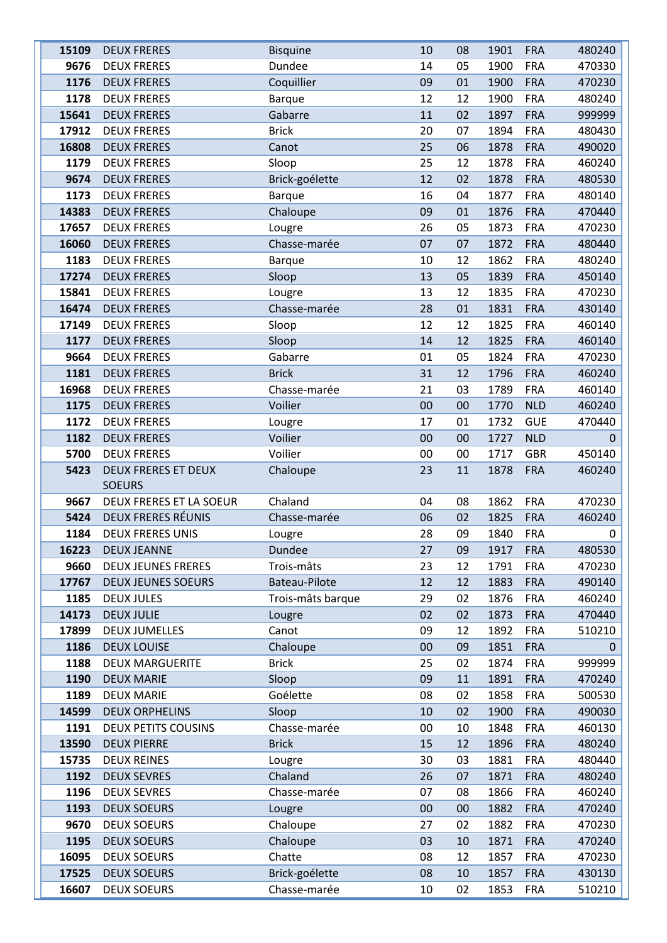| 15109 | <b>DEUX FRERES</b>         | <b>Bisquine</b>   | 10 | 08 | 1901 | <b>FRA</b> | 480240       |
|-------|----------------------------|-------------------|----|----|------|------------|--------------|
| 9676  | <b>DEUX FRERES</b>         | Dundee            | 14 | 05 | 1900 | <b>FRA</b> | 470330       |
| 1176  | <b>DEUX FRERES</b>         | Coquillier        | 09 | 01 | 1900 | <b>FRA</b> | 470230       |
| 1178  | <b>DEUX FRERES</b>         | <b>Barque</b>     | 12 | 12 | 1900 | <b>FRA</b> | 480240       |
| 15641 | <b>DEUX FRERES</b>         | Gabarre           | 11 | 02 | 1897 | <b>FRA</b> | 999999       |
| 17912 | <b>DEUX FRERES</b>         | <b>Brick</b>      | 20 | 07 | 1894 | <b>FRA</b> | 480430       |
| 16808 | <b>DEUX FRERES</b>         | Canot             | 25 | 06 | 1878 | <b>FRA</b> | 490020       |
| 1179  | <b>DEUX FRERES</b>         | Sloop             | 25 | 12 | 1878 | <b>FRA</b> | 460240       |
| 9674  | <b>DEUX FRERES</b>         | Brick-goélette    | 12 | 02 | 1878 | <b>FRA</b> | 480530       |
| 1173  | <b>DEUX FRERES</b>         | <b>Barque</b>     | 16 | 04 | 1877 | <b>FRA</b> | 480140       |
| 14383 | <b>DEUX FRERES</b>         | Chaloupe          | 09 | 01 | 1876 | <b>FRA</b> | 470440       |
| 17657 | <b>DEUX FRERES</b>         | Lougre            | 26 | 05 | 1873 | <b>FRA</b> | 470230       |
| 16060 | <b>DEUX FRERES</b>         | Chasse-marée      | 07 | 07 | 1872 | <b>FRA</b> | 480440       |
| 1183  | <b>DEUX FRERES</b>         | <b>Barque</b>     | 10 | 12 | 1862 | <b>FRA</b> | 480240       |
| 17274 | <b>DEUX FRERES</b>         | Sloop             | 13 | 05 | 1839 | <b>FRA</b> | 450140       |
| 15841 | <b>DEUX FRERES</b>         | Lougre            | 13 | 12 | 1835 | <b>FRA</b> | 470230       |
| 16474 | <b>DEUX FRERES</b>         | Chasse-marée      | 28 | 01 | 1831 | <b>FRA</b> | 430140       |
| 17149 | <b>DEUX FRERES</b>         | Sloop             | 12 | 12 | 1825 | <b>FRA</b> | 460140       |
| 1177  | <b>DEUX FRERES</b>         | Sloop             | 14 | 12 | 1825 | <b>FRA</b> | 460140       |
| 9664  | <b>DEUX FRERES</b>         | Gabarre           | 01 | 05 | 1824 | <b>FRA</b> | 470230       |
| 1181  | <b>DEUX FRERES</b>         | <b>Brick</b>      | 31 | 12 | 1796 | <b>FRA</b> | 460240       |
| 16968 | <b>DEUX FRERES</b>         | Chasse-marée      | 21 | 03 | 1789 | <b>FRA</b> | 460140       |
| 1175  | <b>DEUX FRERES</b>         | Voilier           | 00 | 00 | 1770 | <b>NLD</b> | 460240       |
| 1172  | <b>DEUX FRERES</b>         | Lougre            | 17 | 01 | 1732 | <b>GUE</b> | 470440       |
| 1182  | <b>DEUX FRERES</b>         | Voilier           | 00 | 00 | 1727 | <b>NLD</b> | $\mathbf 0$  |
| 5700  | <b>DEUX FRERES</b>         | Voilier           | 00 | 00 | 1717 | <b>GBR</b> | 450140       |
| 5423  | <b>DEUX FRERES ET DEUX</b> | Chaloupe          | 23 | 11 | 1878 | <b>FRA</b> | 460240       |
|       | <b>SOEURS</b>              |                   |    |    |      |            |              |
| 9667  | DEUX FRERES ET LA SOEUR    | Chaland           | 04 | 08 | 1862 | <b>FRA</b> | 470230       |
| 5424  | <b>DEUX FRERES RÉUNIS</b>  | Chasse-marée      | 06 | 02 | 1825 | <b>FRA</b> | 460240       |
| 1184  | <b>DEUX FRERES UNIS</b>    | Lougre            | 28 | 09 | 1840 | <b>FRA</b> | 0            |
| 16223 | <b>DEUX JEANNE</b>         | Dundee            | 27 | 09 | 1917 | <b>FRA</b> | 480530       |
| 9660  | <b>DEUX JEUNES FRERES</b>  | Trois-mâts        | 23 | 12 | 1791 | <b>FRA</b> | 470230       |
| 17767 | <b>DEUX JEUNES SOEURS</b>  | Bateau-Pilote     | 12 | 12 | 1883 | <b>FRA</b> | 490140       |
| 1185  | <b>DEUX JULES</b>          | Trois-mâts barque | 29 | 02 | 1876 | <b>FRA</b> | 460240       |
| 14173 | <b>DEUX JULIE</b>          | Lougre            | 02 | 02 | 1873 | <b>FRA</b> | 470440       |
| 17899 | <b>DEUX JUMELLES</b>       | Canot             | 09 | 12 | 1892 | <b>FRA</b> | 510210       |
| 1186  | <b>DEUX LOUISE</b>         | Chaloupe          | 00 | 09 | 1851 | <b>FRA</b> | $\mathbf{0}$ |
| 1188  | <b>DEUX MARGUERITE</b>     | <b>Brick</b>      | 25 | 02 | 1874 | <b>FRA</b> | 999999       |
| 1190  | <b>DEUX MARIE</b>          | Sloop             | 09 | 11 | 1891 | <b>FRA</b> | 470240       |
| 1189  | <b>DEUX MARIE</b>          | Goélette          | 08 | 02 | 1858 | <b>FRA</b> | 500530       |
| 14599 | <b>DEUX ORPHELINS</b>      | Sloop             | 10 | 02 | 1900 | <b>FRA</b> | 490030       |
| 1191  | <b>DEUX PETITS COUSINS</b> | Chasse-marée      | 00 | 10 | 1848 | <b>FRA</b> | 460130       |
| 13590 | <b>DEUX PIERRE</b>         | <b>Brick</b>      | 15 | 12 | 1896 | <b>FRA</b> | 480240       |
| 15735 | <b>DEUX REINES</b>         | Lougre            | 30 | 03 | 1881 | <b>FRA</b> | 480440       |
| 1192  | <b>DEUX SEVRES</b>         | Chaland           | 26 | 07 | 1871 | <b>FRA</b> | 480240       |
| 1196  | <b>DEUX SEVRES</b>         | Chasse-marée      | 07 | 08 | 1866 | <b>FRA</b> | 460240       |
| 1193  | <b>DEUX SOEURS</b>         | Lougre            | 00 | 00 | 1882 | <b>FRA</b> | 470240       |
| 9670  | <b>DEUX SOEURS</b>         | Chaloupe          | 27 | 02 | 1882 | <b>FRA</b> | 470230       |
| 1195  | <b>DEUX SOEURS</b>         | Chaloupe          | 03 | 10 | 1871 | <b>FRA</b> | 470240       |
| 16095 | <b>DEUX SOEURS</b>         | Chatte            | 08 | 12 | 1857 | <b>FRA</b> | 470230       |
| 17525 | <b>DEUX SOEURS</b>         | Brick-goélette    | 08 | 10 | 1857 | <b>FRA</b> | 430130       |
| 16607 | <b>DEUX SOEURS</b>         | Chasse-marée      | 10 | 02 | 1853 | <b>FRA</b> | 510210       |
|       |                            |                   |    |    |      |            |              |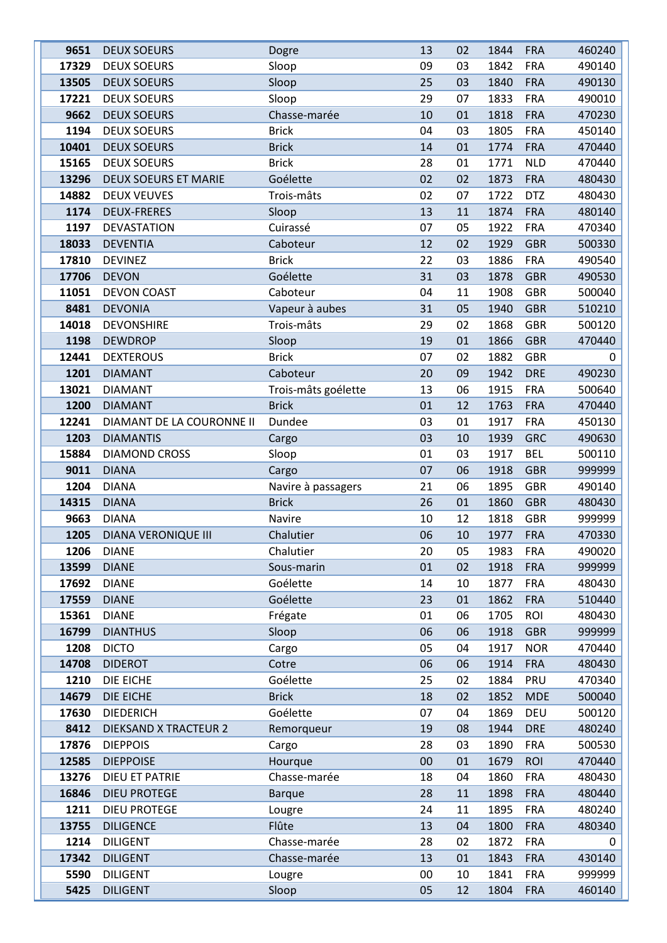| 9651  | <b>DEUX SOEURS</b>          | Dogre               | 13 | 02 | 1844 | <b>FRA</b> | 460240   |
|-------|-----------------------------|---------------------|----|----|------|------------|----------|
| 17329 | <b>DEUX SOEURS</b>          | Sloop               | 09 | 03 | 1842 | <b>FRA</b> | 490140   |
| 13505 | <b>DEUX SOEURS</b>          | Sloop               | 25 | 03 | 1840 | <b>FRA</b> | 490130   |
| 17221 | <b>DEUX SOEURS</b>          | Sloop               | 29 | 07 | 1833 | <b>FRA</b> | 490010   |
| 9662  | <b>DEUX SOEURS</b>          | Chasse-marée        | 10 | 01 | 1818 | <b>FRA</b> | 470230   |
| 1194  | <b>DEUX SOEURS</b>          | <b>Brick</b>        | 04 | 03 | 1805 | <b>FRA</b> | 450140   |
| 10401 | <b>DEUX SOEURS</b>          | <b>Brick</b>        | 14 | 01 | 1774 | <b>FRA</b> | 470440   |
| 15165 | <b>DEUX SOEURS</b>          | <b>Brick</b>        | 28 | 01 | 1771 | <b>NLD</b> | 470440   |
| 13296 | <b>DEUX SOEURS ET MARIE</b> | Goélette            | 02 | 02 | 1873 | <b>FRA</b> | 480430   |
| 14882 | <b>DEUX VEUVES</b>          | Trois-mâts          | 02 | 07 | 1722 | <b>DTZ</b> | 480430   |
| 1174  | <b>DEUX-FRERES</b>          | Sloop               | 13 | 11 | 1874 | <b>FRA</b> | 480140   |
| 1197  | DEVASTATION                 | Cuirassé            | 07 | 05 | 1922 | <b>FRA</b> | 470340   |
| 18033 | <b>DEVENTIA</b>             | Caboteur            | 12 | 02 | 1929 | <b>GBR</b> | 500330   |
| 17810 | <b>DEVINEZ</b>              | <b>Brick</b>        | 22 | 03 | 1886 | <b>FRA</b> | 490540   |
| 17706 | <b>DEVON</b>                | Goélette            | 31 | 03 | 1878 | <b>GBR</b> | 490530   |
| 11051 | <b>DEVON COAST</b>          | Caboteur            | 04 | 11 | 1908 | <b>GBR</b> | 500040   |
| 8481  | <b>DEVONIA</b>              | Vapeur à aubes      | 31 | 05 | 1940 | <b>GBR</b> | 510210   |
| 14018 | <b>DEVONSHIRE</b>           | Trois-mâts          | 29 | 02 | 1868 | <b>GBR</b> | 500120   |
| 1198  | <b>DEWDROP</b>              | Sloop               | 19 | 01 | 1866 | <b>GBR</b> | 470440   |
| 12441 | <b>DEXTEROUS</b>            | <b>Brick</b>        | 07 | 02 | 1882 | <b>GBR</b> | $\Omega$ |
| 1201  | <b>DIAMANT</b>              | Caboteur            | 20 | 09 | 1942 | <b>DRE</b> | 490230   |
| 13021 | <b>DIAMANT</b>              | Trois-mâts goélette | 13 | 06 | 1915 | <b>FRA</b> | 500640   |
| 1200  | <b>DIAMANT</b>              | <b>Brick</b>        | 01 | 12 | 1763 | <b>FRA</b> | 470440   |
| 12241 | DIAMANT DE LA COURONNE II   | Dundee              | 03 | 01 | 1917 | <b>FRA</b> | 450130   |
| 1203  | <b>DIAMANTIS</b>            | Cargo               | 03 | 10 | 1939 | <b>GRC</b> | 490630   |
| 15884 | <b>DIAMOND CROSS</b>        | Sloop               | 01 | 03 | 1917 | <b>BEL</b> | 500110   |
| 9011  | <b>DIANA</b>                | Cargo               | 07 | 06 | 1918 | <b>GBR</b> | 999999   |
| 1204  | <b>DIANA</b>                | Navire à passagers  | 21 | 06 | 1895 | <b>GBR</b> | 490140   |
| 14315 | <b>DIANA</b>                | <b>Brick</b>        | 26 | 01 | 1860 | <b>GBR</b> | 480430   |
| 9663  | <b>DIANA</b>                | Navire              | 10 | 12 | 1818 | <b>GBR</b> | 999999   |
| 1205  | <b>DIANA VERONIQUE III</b>  | Chalutier           | 06 | 10 | 1977 | <b>FRA</b> | 470330   |
| 1206  | <b>DIANE</b>                | Chalutier           | 20 | 05 | 1983 | <b>FRA</b> | 490020   |
| 13599 | <b>DIANE</b>                | Sous-marin          | 01 | 02 | 1918 | <b>FRA</b> | 999999   |
| 17692 | <b>DIANE</b>                | Goélette            | 14 | 10 | 1877 | <b>FRA</b> | 480430   |
| 17559 | <b>DIANE</b>                | Goélette            | 23 | 01 | 1862 | <b>FRA</b> | 510440   |
| 15361 | <b>DIANE</b>                | Frégate             | 01 | 06 | 1705 | <b>ROI</b> | 480430   |
| 16799 | <b>DIANTHUS</b>             | Sloop               | 06 | 06 | 1918 | <b>GBR</b> | 999999   |
| 1208  | <b>DICTO</b>                | Cargo               | 05 | 04 | 1917 | <b>NOR</b> | 470440   |
| 14708 | <b>DIDEROT</b>              | Cotre               | 06 | 06 | 1914 | <b>FRA</b> | 480430   |
| 1210  | DIE EICHE                   | Goélette            | 25 | 02 | 1884 | PRU        | 470340   |
| 14679 | DIE EICHE                   | <b>Brick</b>        | 18 | 02 | 1852 | <b>MDE</b> | 500040   |
| 17630 | <b>DIEDERICH</b>            | Goélette            | 07 | 04 | 1869 | DEU        | 500120   |
| 8412  | DIEKSAND X TRACTEUR 2       | Remorqueur          | 19 | 08 | 1944 | <b>DRE</b> | 480240   |
| 17876 | <b>DIEPPOIS</b>             | Cargo               | 28 | 03 | 1890 | <b>FRA</b> | 500530   |
| 12585 | <b>DIEPPOISE</b>            | Hourque             | 00 | 01 | 1679 | <b>ROI</b> | 470440   |
| 13276 | DIEU ET PATRIE              | Chasse-marée        | 18 | 04 | 1860 | <b>FRA</b> | 480430   |
| 16846 | <b>DIEU PROTEGE</b>         | <b>Barque</b>       | 28 | 11 | 1898 | <b>FRA</b> | 480440   |
| 1211  | <b>DIEU PROTEGE</b>         | Lougre              | 24 | 11 | 1895 | <b>FRA</b> | 480240   |
| 13755 | <b>DILIGENCE</b>            | Flûte               | 13 | 04 | 1800 | <b>FRA</b> | 480340   |
| 1214  | <b>DILIGENT</b>             | Chasse-marée        | 28 | 02 | 1872 | <b>FRA</b> | 0        |
| 17342 | <b>DILIGENT</b>             | Chasse-marée        | 13 | 01 | 1843 | <b>FRA</b> | 430140   |
| 5590  | <b>DILIGENT</b>             | Lougre              | 00 | 10 | 1841 | <b>FRA</b> | 999999   |
| 5425  | <b>DILIGENT</b>             | Sloop               | 05 | 12 | 1804 | <b>FRA</b> | 460140   |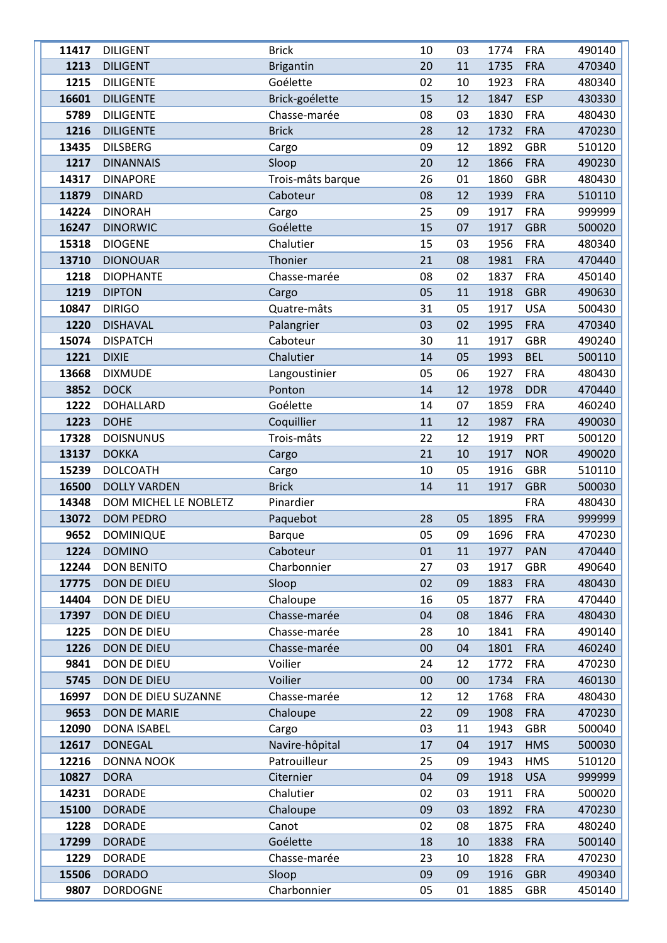| 11417 | <b>DILIGENT</b>       | <b>Brick</b>      | 10 | 03 | 1774 | <b>FRA</b> | 490140 |
|-------|-----------------------|-------------------|----|----|------|------------|--------|
| 1213  | <b>DILIGENT</b>       | <b>Brigantin</b>  | 20 | 11 | 1735 | <b>FRA</b> | 470340 |
| 1215  | <b>DILIGENTE</b>      | Goélette          | 02 | 10 | 1923 | <b>FRA</b> | 480340 |
| 16601 | <b>DILIGENTE</b>      | Brick-goélette    | 15 | 12 | 1847 | <b>ESP</b> | 430330 |
| 5789  | <b>DILIGENTE</b>      | Chasse-marée      | 08 | 03 | 1830 | <b>FRA</b> | 480430 |
| 1216  | <b>DILIGENTE</b>      | <b>Brick</b>      | 28 | 12 | 1732 | <b>FRA</b> | 470230 |
| 13435 | <b>DILSBERG</b>       | Cargo             | 09 | 12 | 1892 | <b>GBR</b> | 510120 |
| 1217  | <b>DINANNAIS</b>      | Sloop             | 20 | 12 | 1866 | <b>FRA</b> | 490230 |
| 14317 | <b>DINAPORE</b>       | Trois-mâts barque | 26 | 01 | 1860 | <b>GBR</b> | 480430 |
| 11879 | <b>DINARD</b>         | Caboteur          | 08 | 12 | 1939 | <b>FRA</b> | 510110 |
| 14224 | <b>DINORAH</b>        | Cargo             | 25 | 09 | 1917 | <b>FRA</b> | 999999 |
| 16247 | <b>DINORWIC</b>       | Goélette          | 15 | 07 | 1917 | <b>GBR</b> | 500020 |
| 15318 | <b>DIOGENE</b>        | Chalutier         | 15 | 03 | 1956 | <b>FRA</b> | 480340 |
| 13710 | <b>DIONOUAR</b>       | Thonier           | 21 | 08 | 1981 | <b>FRA</b> | 470440 |
| 1218  | <b>DIOPHANTE</b>      | Chasse-marée      | 08 | 02 | 1837 | <b>FRA</b> | 450140 |
| 1219  | <b>DIPTON</b>         | Cargo             | 05 | 11 | 1918 | <b>GBR</b> | 490630 |
| 10847 | <b>DIRIGO</b>         | Quatre-mâts       | 31 | 05 | 1917 | <b>USA</b> | 500430 |
| 1220  | <b>DISHAVAL</b>       | Palangrier        | 03 | 02 | 1995 | <b>FRA</b> | 470340 |
| 15074 | <b>DISPATCH</b>       | Caboteur          | 30 | 11 | 1917 | <b>GBR</b> | 490240 |
| 1221  | <b>DIXIE</b>          | Chalutier         | 14 | 05 | 1993 | <b>BEL</b> | 500110 |
| 13668 | <b>DIXMUDE</b>        | Langoustinier     | 05 | 06 | 1927 | <b>FRA</b> | 480430 |
| 3852  | <b>DOCK</b>           | Ponton            | 14 | 12 | 1978 | <b>DDR</b> | 470440 |
| 1222  | <b>DOHALLARD</b>      | Goélette          | 14 | 07 | 1859 | <b>FRA</b> | 460240 |
| 1223  | <b>DOHE</b>           | Coquillier        | 11 | 12 | 1987 | <b>FRA</b> | 490030 |
| 17328 | <b>DOISNUNUS</b>      | Trois-mâts        | 22 | 12 | 1919 | <b>PRT</b> | 500120 |
| 13137 | <b>DOKKA</b>          | Cargo             | 21 | 10 | 1917 | <b>NOR</b> | 490020 |
| 15239 | <b>DOLCOATH</b>       | Cargo             | 10 | 05 | 1916 | <b>GBR</b> | 510110 |
| 16500 | <b>DOLLY VARDEN</b>   | <b>Brick</b>      | 14 | 11 | 1917 | <b>GBR</b> | 500030 |
| 14348 | DOM MICHEL LE NOBLETZ | Pinardier         |    |    |      | <b>FRA</b> | 480430 |
| 13072 | <b>DOM PEDRO</b>      | Paquebot          | 28 | 05 | 1895 | <b>FRA</b> | 999999 |
| 9652  | <b>DOMINIQUE</b>      | <b>Barque</b>     | 05 | 09 | 1696 | <b>FRA</b> | 470230 |
| 1224  | <b>DOMINO</b>         | Caboteur          | 01 | 11 | 1977 | PAN        | 470440 |
| 12244 | <b>DON BENITO</b>     | Charbonnier       | 27 | 03 | 1917 | <b>GBR</b> | 490640 |
| 17775 | DON DE DIEU           | Sloop             | 02 | 09 | 1883 | <b>FRA</b> | 480430 |
| 14404 | DON DE DIEU           | Chaloupe          | 16 | 05 | 1877 | <b>FRA</b> | 470440 |
| 17397 | DON DE DIEU           | Chasse-marée      | 04 | 08 | 1846 | <b>FRA</b> | 480430 |
| 1225  | DON DE DIEU           | Chasse-marée      | 28 | 10 | 1841 | <b>FRA</b> | 490140 |
| 1226  | DON DE DIEU           | Chasse-marée      | 00 | 04 | 1801 | <b>FRA</b> | 460240 |
| 9841  | DON DE DIEU           | Voilier           | 24 | 12 | 1772 | <b>FRA</b> | 470230 |
| 5745  | DON DE DIEU           | Voilier           | 00 | 00 | 1734 | <b>FRA</b> | 460130 |
| 16997 | DON DE DIEU SUZANNE   | Chasse-marée      | 12 | 12 | 1768 | <b>FRA</b> | 480430 |
| 9653  | <b>DON DE MARIE</b>   | Chaloupe          | 22 | 09 | 1908 | <b>FRA</b> | 470230 |
| 12090 | <b>DONA ISABEL</b>    | Cargo             | 03 | 11 | 1943 | <b>GBR</b> | 500040 |
| 12617 | <b>DONEGAL</b>        | Navire-hôpital    | 17 | 04 | 1917 | <b>HMS</b> | 500030 |
| 12216 | <b>DONNA NOOK</b>     | Patrouilleur      | 25 | 09 | 1943 | <b>HMS</b> | 510120 |
| 10827 | <b>DORA</b>           | Citernier         | 04 | 09 | 1918 | <b>USA</b> | 999999 |
| 14231 | <b>DORADE</b>         | Chalutier         | 02 | 03 | 1911 | <b>FRA</b> | 500020 |
| 15100 | <b>DORADE</b>         | Chaloupe          | 09 | 03 | 1892 | <b>FRA</b> | 470230 |
| 1228  | <b>DORADE</b>         | Canot             | 02 | 08 | 1875 | <b>FRA</b> | 480240 |
| 17299 | <b>DORADE</b>         | Goélette          | 18 | 10 | 1838 | <b>FRA</b> | 500140 |
| 1229  | <b>DORADE</b>         | Chasse-marée      | 23 | 10 | 1828 | <b>FRA</b> | 470230 |
| 15506 | <b>DORADO</b>         | Sloop             | 09 | 09 | 1916 | <b>GBR</b> | 490340 |
| 9807  | <b>DORDOGNE</b>       | Charbonnier       | 05 | 01 | 1885 | <b>GBR</b> | 450140 |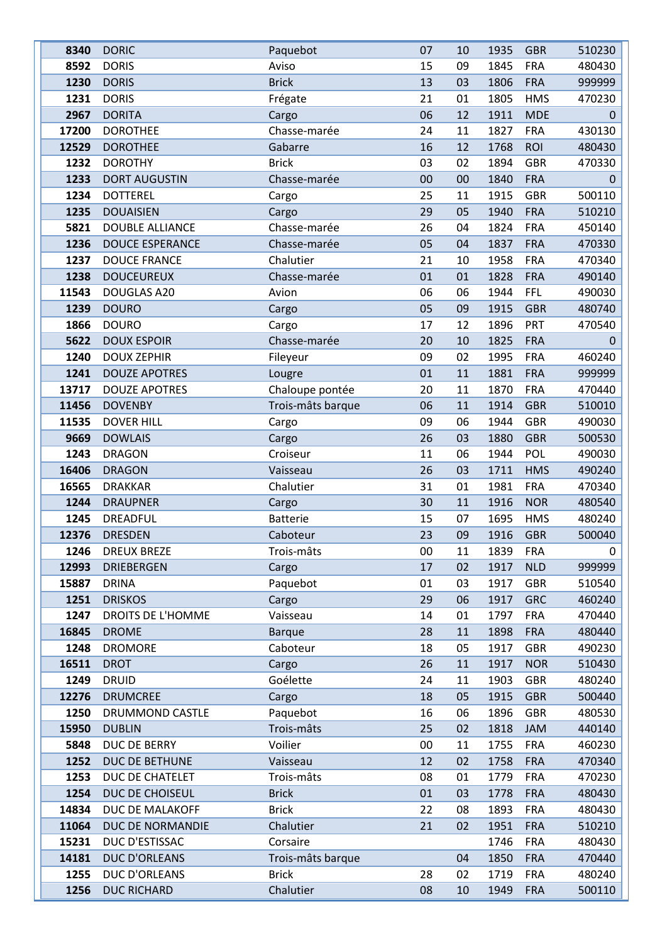| 8340  | <b>DORIC</b>           | Paquebot          | 07 | 10 | 1935 | <b>GBR</b> | 510230   |
|-------|------------------------|-------------------|----|----|------|------------|----------|
| 8592  | <b>DORIS</b>           | Aviso             | 15 | 09 | 1845 | <b>FRA</b> | 480430   |
| 1230  | <b>DORIS</b>           | <b>Brick</b>      | 13 | 03 | 1806 | <b>FRA</b> | 999999   |
| 1231  | <b>DORIS</b>           | Frégate           | 21 | 01 | 1805 | <b>HMS</b> | 470230   |
| 2967  | <b>DORITA</b>          | Cargo             | 06 | 12 | 1911 | <b>MDE</b> | $\Omega$ |
| 17200 | <b>DOROTHEE</b>        | Chasse-marée      | 24 | 11 | 1827 | <b>FRA</b> | 430130   |
| 12529 | <b>DOROTHEE</b>        | Gabarre           | 16 | 12 | 1768 | <b>ROI</b> | 480430   |
| 1232  | <b>DOROTHY</b>         | <b>Brick</b>      | 03 | 02 | 1894 | <b>GBR</b> | 470330   |
| 1233  | <b>DORT AUGUSTIN</b>   | Chasse-marée      | 00 | 00 | 1840 | <b>FRA</b> | 0        |
| 1234  | <b>DOTTEREL</b>        | Cargo             | 25 | 11 | 1915 | <b>GBR</b> | 500110   |
| 1235  | <b>DOUAISIEN</b>       | Cargo             | 29 | 05 | 1940 | <b>FRA</b> | 510210   |
| 5821  | <b>DOUBLE ALLIANCE</b> | Chasse-marée      | 26 | 04 | 1824 | <b>FRA</b> | 450140   |
| 1236  | <b>DOUCE ESPERANCE</b> | Chasse-marée      | 05 | 04 | 1837 | <b>FRA</b> | 470330   |
| 1237  | <b>DOUCE FRANCE</b>    | Chalutier         | 21 | 10 | 1958 | <b>FRA</b> | 470340   |
| 1238  | <b>DOUCEUREUX</b>      | Chasse-marée      | 01 | 01 | 1828 | <b>FRA</b> | 490140   |
| 11543 | DOUGLAS A20            | Avion             | 06 | 06 | 1944 | <b>FFL</b> | 490030   |
| 1239  | <b>DOURO</b>           | Cargo             | 05 | 09 | 1915 | <b>GBR</b> | 480740   |
| 1866  | <b>DOURO</b>           | Cargo             | 17 | 12 | 1896 | PRT        | 470540   |
| 5622  | <b>DOUX ESPOIR</b>     | Chasse-marée      | 20 | 10 | 1825 | <b>FRA</b> | 0        |
| 1240  | <b>DOUX ZEPHIR</b>     | Fileyeur          | 09 | 02 | 1995 | <b>FRA</b> | 460240   |
| 1241  | <b>DOUZE APOTRES</b>   | Lougre            | 01 | 11 | 1881 | <b>FRA</b> | 999999   |
| 13717 | <b>DOUZE APOTRES</b>   | Chaloupe pontée   | 20 | 11 | 1870 | <b>FRA</b> | 470440   |
| 11456 | <b>DOVENBY</b>         | Trois-mâts barque | 06 | 11 | 1914 | <b>GBR</b> | 510010   |
| 11535 | <b>DOVER HILL</b>      | Cargo             | 09 | 06 | 1944 | <b>GBR</b> | 490030   |
| 9669  | <b>DOWLAIS</b>         | Cargo             | 26 | 03 | 1880 | <b>GBR</b> | 500530   |
| 1243  | <b>DRAGON</b>          | Croiseur          | 11 | 06 | 1944 | POL        | 490030   |
| 16406 | <b>DRAGON</b>          | Vaisseau          | 26 | 03 | 1711 | <b>HMS</b> | 490240   |
| 16565 | <b>DRAKKAR</b>         | Chalutier         | 31 | 01 | 1981 | <b>FRA</b> | 470340   |
| 1244  | <b>DRAUPNER</b>        | Cargo             | 30 | 11 | 1916 | <b>NOR</b> | 480540   |
| 1245  | DREADFUL               | <b>Batterie</b>   | 15 | 07 | 1695 | <b>HMS</b> | 480240   |
| 12376 | <b>DRESDEN</b>         | Caboteur          | 23 | 09 | 1916 | <b>GBR</b> | 500040   |
| 1246  | <b>DREUX BREZE</b>     | Trois-mâts        | 00 | 11 | 1839 | <b>FRA</b> | 0        |
| 12993 | <b>DRIEBERGEN</b>      | Cargo             | 17 | 02 | 1917 | <b>NLD</b> | 999999   |
| 15887 | <b>DRINA</b>           | Paquebot          | 01 | 03 | 1917 | <b>GBR</b> | 510540   |
| 1251  | <b>DRISKOS</b>         | Cargo             | 29 | 06 | 1917 | <b>GRC</b> | 460240   |
| 1247  | DROITS DE L'HOMME      | Vaisseau          | 14 | 01 | 1797 | <b>FRA</b> | 470440   |
| 16845 | <b>DROME</b>           | <b>Barque</b>     | 28 | 11 | 1898 | <b>FRA</b> | 480440   |
| 1248  | <b>DROMORE</b>         | Caboteur          | 18 | 05 | 1917 | <b>GBR</b> | 490230   |
| 16511 | <b>DROT</b>            | Cargo             | 26 | 11 | 1917 | <b>NOR</b> | 510430   |
| 1249  | <b>DRUID</b>           | Goélette          | 24 | 11 | 1903 | <b>GBR</b> | 480240   |
| 12276 | <b>DRUMCREE</b>        | Cargo             | 18 | 05 | 1915 | <b>GBR</b> | 500440   |
| 1250  | DRUMMOND CASTLE        | Paquebot          | 16 | 06 | 1896 | <b>GBR</b> | 480530   |
| 15950 | <b>DUBLIN</b>          | Trois-mâts        | 25 | 02 | 1818 | JAM        | 440140   |
| 5848  | DUC DE BERRY           | Voilier           | 00 | 11 | 1755 | <b>FRA</b> | 460230   |
| 1252  | DUC DE BETHUNE         | Vaisseau          | 12 | 02 | 1758 | <b>FRA</b> | 470340   |
| 1253  | DUC DE CHATELET        | Trois-mâts        | 08 | 01 | 1779 | <b>FRA</b> | 470230   |
| 1254  | DUC DE CHOISEUL        | <b>Brick</b>      | 01 | 03 | 1778 | <b>FRA</b> | 480430   |
| 14834 | DUC DE MALAKOFF        | <b>Brick</b>      | 22 | 08 | 1893 | <b>FRA</b> | 480430   |
| 11064 | DUC DE NORMANDIE       | Chalutier         | 21 | 02 | 1951 | <b>FRA</b> | 510210   |
| 15231 | DUC D'ESTISSAC         | Corsaire          |    |    | 1746 | <b>FRA</b> | 480430   |
| 14181 | DUC D'ORLEANS          | Trois-mâts barque |    | 04 | 1850 | <b>FRA</b> | 470440   |
| 1255  | DUC D'ORLEANS          | <b>Brick</b>      | 28 | 02 | 1719 | <b>FRA</b> | 480240   |
| 1256  | <b>DUC RICHARD</b>     | Chalutier         | 08 | 10 | 1949 | <b>FRA</b> | 500110   |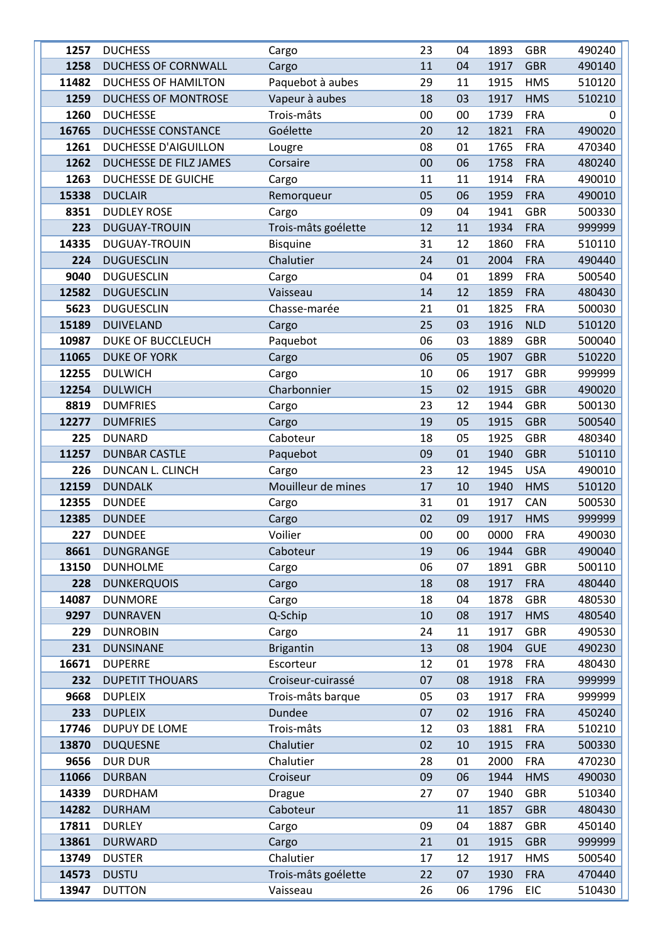| 1257  | <b>DUCHESS</b>              | Cargo               | 23 | 04 | 1893 | <b>GBR</b> | 490240   |
|-------|-----------------------------|---------------------|----|----|------|------------|----------|
| 1258  | <b>DUCHESS OF CORNWALL</b>  | Cargo               | 11 | 04 | 1917 | <b>GBR</b> | 490140   |
| 11482 | <b>DUCHESS OF HAMILTON</b>  | Paquebot à aubes    | 29 | 11 | 1915 | <b>HMS</b> | 510120   |
| 1259  | <b>DUCHESS OF MONTROSE</b>  | Vapeur à aubes      | 18 | 03 | 1917 | <b>HMS</b> | 510210   |
| 1260  | <b>DUCHESSE</b>             | Trois-mâts          | 00 | 00 | 1739 | <b>FRA</b> | $\Omega$ |
| 16765 | <b>DUCHESSE CONSTANCE</b>   | Goélette            | 20 | 12 | 1821 | <b>FRA</b> | 490020   |
| 1261  | <b>DUCHESSE D'AIGUILLON</b> | Lougre              | 08 | 01 | 1765 | <b>FRA</b> | 470340   |
| 1262  | DUCHESSE DE FILZ JAMES      | Corsaire            | 00 | 06 | 1758 | <b>FRA</b> | 480240   |
| 1263  | DUCHESSE DE GUICHE          | Cargo               | 11 | 11 | 1914 | <b>FRA</b> | 490010   |
| 15338 | <b>DUCLAIR</b>              | Remorqueur          | 05 | 06 | 1959 | <b>FRA</b> | 490010   |
| 8351  | <b>DUDLEY ROSE</b>          | Cargo               | 09 | 04 | 1941 | <b>GBR</b> | 500330   |
| 223   | <b>DUGUAY-TROUIN</b>        | Trois-mâts goélette | 12 | 11 | 1934 | <b>FRA</b> | 999999   |
| 14335 | <b>DUGUAY-TROUIN</b>        | <b>Bisquine</b>     | 31 | 12 | 1860 | <b>FRA</b> | 510110   |
| 224   | <b>DUGUESCLIN</b>           | Chalutier           | 24 | 01 | 2004 | <b>FRA</b> | 490440   |
| 9040  | <b>DUGUESCLIN</b>           | Cargo               | 04 | 01 | 1899 | <b>FRA</b> | 500540   |
| 12582 | <b>DUGUESCLIN</b>           | Vaisseau            | 14 | 12 | 1859 | <b>FRA</b> | 480430   |
| 5623  | <b>DUGUESCLIN</b>           | Chasse-marée        | 21 | 01 | 1825 | <b>FRA</b> | 500030   |
| 15189 | <b>DUIVELAND</b>            | Cargo               | 25 | 03 | 1916 | <b>NLD</b> | 510120   |
| 10987 | <b>DUKE OF BUCCLEUCH</b>    | Paquebot            | 06 | 03 | 1889 | <b>GBR</b> | 500040   |
| 11065 | <b>DUKE OF YORK</b>         | Cargo               | 06 | 05 | 1907 | <b>GBR</b> | 510220   |
| 12255 | <b>DULWICH</b>              | Cargo               | 10 | 06 | 1917 | <b>GBR</b> | 999999   |
| 12254 | <b>DULWICH</b>              | Charbonnier         | 15 | 02 | 1915 | <b>GBR</b> | 490020   |
| 8819  | <b>DUMFRIES</b>             | Cargo               | 23 | 12 | 1944 | <b>GBR</b> | 500130   |
| 12277 | <b>DUMFRIES</b>             | Cargo               | 19 | 05 | 1915 | <b>GBR</b> | 500540   |
| 225   | <b>DUNARD</b>               | Caboteur            | 18 | 05 | 1925 | <b>GBR</b> | 480340   |
| 11257 | <b>DUNBAR CASTLE</b>        | Paquebot            | 09 | 01 | 1940 | <b>GBR</b> | 510110   |
| 226   | DUNCAN L. CLINCH            | Cargo               | 23 | 12 | 1945 | <b>USA</b> | 490010   |
| 12159 | <b>DUNDALK</b>              | Mouilleur de mines  | 17 | 10 | 1940 | <b>HMS</b> | 510120   |
| 12355 | <b>DUNDEE</b>               | Cargo               | 31 | 01 | 1917 | CAN        | 500530   |
| 12385 | <b>DUNDEE</b>               | Cargo               | 02 | 09 | 1917 | <b>HMS</b> | 999999   |
| 227   | <b>DUNDEE</b>               | Voilier             | 00 | 00 | 0000 | <b>FRA</b> | 490030   |
| 8661  | <b>DUNGRANGE</b>            | Caboteur            | 19 | 06 | 1944 | <b>GBR</b> | 490040   |
| 13150 | <b>DUNHOLME</b>             | Cargo               | 06 | 07 | 1891 | <b>GBR</b> | 500110   |
| 228   | <b>DUNKERQUOIS</b>          | Cargo               | 18 | 08 | 1917 | <b>FRA</b> | 480440   |
| 14087 | <b>DUNMORE</b>              | Cargo               | 18 | 04 | 1878 | <b>GBR</b> | 480530   |
| 9297  | <b>DUNRAVEN</b>             | Q-Schip             | 10 | 08 | 1917 | <b>HMS</b> | 480540   |
| 229   | <b>DUNROBIN</b>             | Cargo               | 24 | 11 | 1917 | <b>GBR</b> | 490530   |
| 231   | <b>DUNSINANE</b>            | <b>Brigantin</b>    | 13 | 08 | 1904 | <b>GUE</b> | 490230   |
| 16671 | <b>DUPERRE</b>              | Escorteur           | 12 | 01 | 1978 | <b>FRA</b> | 480430   |
| 232   | <b>DUPETIT THOUARS</b>      | Croiseur-cuirassé   | 07 | 08 | 1918 | <b>FRA</b> | 999999   |
| 9668  | <b>DUPLEIX</b>              | Trois-mâts barque   | 05 | 03 | 1917 | <b>FRA</b> | 999999   |
| 233   | <b>DUPLEIX</b>              | <b>Dundee</b>       | 07 | 02 | 1916 | <b>FRA</b> | 450240   |
| 17746 | <b>DUPUY DE LOME</b>        | Trois-mâts          | 12 | 03 | 1881 | <b>FRA</b> | 510210   |
| 13870 | <b>DUQUESNE</b>             | Chalutier           | 02 | 10 | 1915 | <b>FRA</b> | 500330   |
| 9656  | <b>DUR DUR</b>              | Chalutier           | 28 | 01 | 2000 | <b>FRA</b> | 470230   |
| 11066 | <b>DURBAN</b>               | Croiseur            | 09 | 06 | 1944 | <b>HMS</b> | 490030   |
| 14339 | <b>DURDHAM</b>              | <b>Drague</b>       | 27 | 07 | 1940 | <b>GBR</b> | 510340   |
| 14282 | <b>DURHAM</b>               | Caboteur            |    | 11 | 1857 | <b>GBR</b> | 480430   |
| 17811 | <b>DURLEY</b>               | Cargo               | 09 | 04 | 1887 | <b>GBR</b> | 450140   |
| 13861 | <b>DURWARD</b>              | Cargo               | 21 | 01 | 1915 | <b>GBR</b> | 999999   |
| 13749 | <b>DUSTER</b>               | Chalutier           | 17 | 12 | 1917 | <b>HMS</b> | 500540   |
| 14573 | <b>DUSTU</b>                | Trois-mâts goélette | 22 | 07 | 1930 | <b>FRA</b> | 470440   |
| 13947 | <b>DUTTON</b>               | Vaisseau            | 26 | 06 | 1796 | <b>EIC</b> | 510430   |